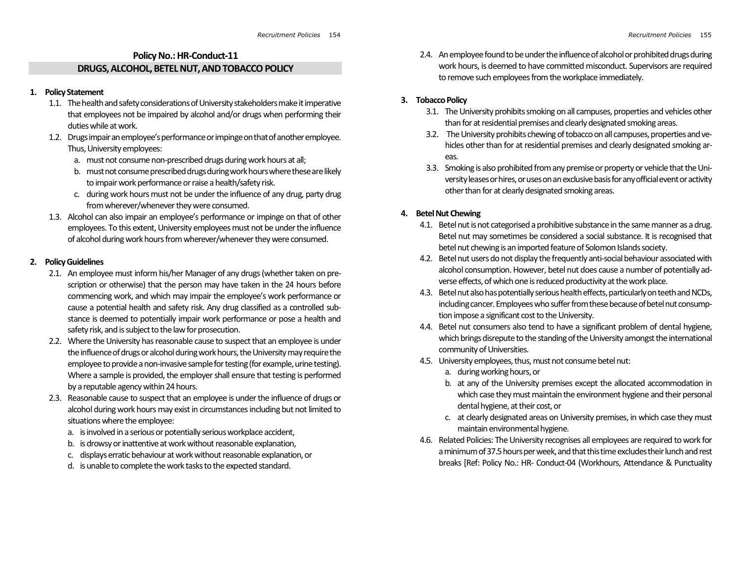# Policy No.: HR-Conduct-11 DRUGS, ALCOHOL, BETEL NUT, AND TOBACCO POLICY

#### 1. Policy Statement

- 1.1. The health and safety considerations of University stakeholders make it imperative that employees not be impaired by alcohol and/or drugs when performing their duties while at work.
- 1.2. Drugs impair an employee's performance or impinge on that of another employee. Thus, University employees:
	- a. must not consume non-prescribed drugs during work hours at all;
	- b. must not consume prescribed drugs during work hours where these are likely to impair work performance or raise a health/safety risk.
	- c. during work hours must not be under the influence of any drug, party drug from wherever/whenever they were consumed.
- 1.3. Alcohol can also impair an employee's performance or impinge on that of other employees. To this extent, University employees must not be under the influence of alcohol during work hours from wherever/whenever they were consumed.

#### 2. Policy Guidelines

- 2.1. An employee must inform his/her Manager of any drugs (whether taken on prescription or otherwise) that the person may have taken in the 24 hours before commencing work, and which may impair the employee's work performance or cause a potential health and safety risk. Any drug classified as a controlled substance is deemed to potentially impair work performance or pose a health and safety risk, and is subject to the law for prosecution.
- 2.2. Where the University has reasonable cause to suspect that an employee is under the influence of drugs or alcohol during work hours, the University may require the employee to provide a non-invasive sample for testing (for example, urine testing). Where a sample is provided, the employer shall ensure that testing is performed by a reputable agency within 24 hours.
- 2.3. Reasonable cause to suspect that an employee is under the influence of drugs or alcohol during work hours may exist in circumstances including but not limited to situations where the employee:
	- a. is involved in a serious or potentially serious workplace accident,
	- b. is drowsy or inattentive at work without reasonable explanation,
	- c. displays erratic behaviour at work without reasonable explanation, or
	- d. is unable to complete the work tasks to the expected standard.

2.4. An employee found to be under the influence of alcohol or prohibited drugs during work hours, is deemed to have committed misconduct. Supervisors are required to remove such employees from the workplace immediately.

## 3. Tobacco Policy

- 3.1. The University prohibits smoking on all campuses, properties and vehicles other than for at residential premises and clearly designated smoking areas.
- 3.2. The University prohibits chewing of tobacco on all campuses, properties and vehicles other than for at residential premises and clearly designated smoking areas.
- 3.3. Smoking is also prohibited from any premise or property or vehicle that the University leases or hires, or uses on an exclusive basis for any official event or activity other than for at clearly designated smoking areas.

# 4. Betel Nut Chewing

- 4.1. Betel nut is not categorised a prohibitive substance in the same manner as a drug. Betel nut may sometimes be considered a social substance. It is recognised that betel nut chewing is an imported feature of Solomon Islands society.
- 4.2. Betel nut users do not display the frequently anti-social behaviour associated with alcohol consumption. However, betel nut does cause a number of potentially adverse effects, of which one is reduced productivity at the work place.
- 4.3. Betel nut also has potentially serious health effects, particularly on teeth and NCDs, including cancer. Employees who suffer from these because of betel nut consumption impose a significant cost to the University.
- 4.4. Betel nut consumers also tend to have a significant problem of dental hygiene, which brings disrepute to the standing of the University amongst the international community of Universities.
- 4.5. University employees, thus, must not consume betel nut:
	- a. during working hours, or
	- b. at any of the University premises except the allocated accommodation in which case they must maintain the environment hygiene and their personal dental hygiene, at their cost, or
	- c. at clearly designated areas on University premises, in which case they must maintain environmental hygiene.
- 4.6. Related Policies: The University recognises all employees are required to work for a minimum of 37.5 hours per week, and that this time excludes their lunch and rest breaks [Ref: Policy No.: HR- Conduct-04 (Workhours, Attendance & Punctuality